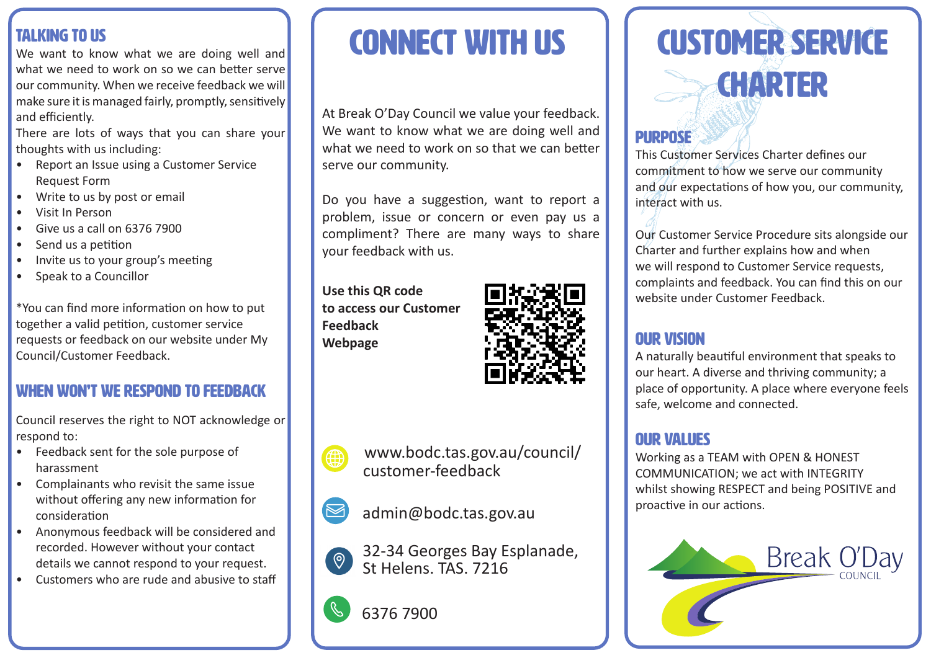## Talking to Us

We want to know what we are doing well and what we need to work on so we can better serve our community. When we receive feedback we will make sure it is managed fairly, promptly, sensitively and efficiently.

There are lots of ways that you can share your thoughts with us including:

- Report an Issue using a Customer Service Request Form
- Write to us by post or email
- Visit In Person
- Give us a call on 6376 7900
- Send us a petition
- Invite us to your group's meeting
- Speak to a Councillor

\*You can find more information on how to put together a valid petition, customer service requests or feedback on our website under My Council/Customer Feedback.

## WHEN WON'T WE RESPOND TO FEEDBACK

Council reserves the right to NOT acknowledge or respond to:

- Feedback sent for the sole purpose of harassment
- Complainants who revisit the same issue without offering any new information for consideration
- Anonymous feedback will be considered and recorded. However without your contact details we cannot respond to your request.
- Customers who are rude and abusive to staff

# **CONNECT WITH US**

At Break O'Day Council we value your feedback. We want to know what we are doing well and what we need to work on so that we can better serve our community.

Do you have a suggestion, want to report a problem, issue or concern or even pay us a compliment? There are many ways to share your feedback with us.

**Use this QR code to access our Customer Feedback Webpage**







admin@bodc.tas.gov.au

32-34 Georges Bay Esplanade,  $\left( \circledcirc \right)$ St Helens. TAS. 7216



Customer Service **CHARTER** 

# PURPOSE

This Customer Services Charter defines our commitment to how we serve our community and our expectations of how you, our community, interact with us.

Our Customer Service Procedure sits alongside our Charter and further explains how and when we will respond to Customer Service requests, complaints and feedback. You can find this on our website under Customer Feedback.

## OUR VISION

A naturally beautiful environment that speaks to our heart. A diverse and thriving community; a place of opportunity. A place where everyone feels safe, welcome and connected.

## OUR VALUES

Working as a TEAM with OPEN & HONEST COMMUNICATION; we act with INTEGRITY whilst showing RESPECT and being POSITIVE and proactive in our actions.